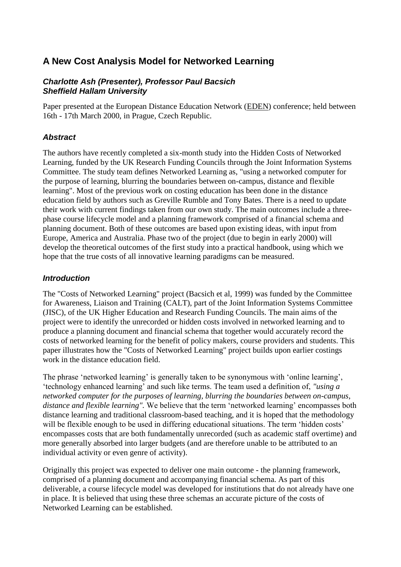# **A New Cost Analysis Model for Networked Learning**

#### *Charlotte Ash (Presenter), Professor Paul Bacsich Sheffield Hallam University*

Paper presented at the European Distance Education Network [\(EDEN\)](http://www.eden.bme.hu/) conference; held between 16th - 17th March 2000, in Prague, Czech Republic.

## *Abstract*

The authors have recently completed a six-month study into the Hidden Costs of Networked Learning, funded by the UK Research Funding Councils through the Joint Information Systems Committee. The study team defines Networked Learning as, "using a networked computer for the purpose of learning, blurring the boundaries between on-campus, distance and flexible learning". Most of the previous work on costing education has been done in the distance education field by authors such as Greville Rumble and Tony Bates. There is a need to update their work with current findings taken from our own study. The main outcomes include a threephase course lifecycle model and a planning framework comprised of a financial schema and planning document. Both of these outcomes are based upon existing ideas, with input from Europe, America and Australia. Phase two of the project (due to begin in early 2000) will develop the theoretical outcomes of the first study into a practical handbook, using which we hope that the true costs of all innovative learning paradigms can be measured.

#### *Introduction*

The "Costs of Networked Learning" project (Bacsich et al, 1999) was funded by the Committee for Awareness, Liaison and Training (CALT), part of the Joint Information Systems Committee (JISC), of the UK Higher Education and Research Funding Councils. The main aims of the project were to identify the unrecorded or hidden costs involved in networked learning and to produce a planning document and financial schema that together would accurately record the costs of networked learning for the benefit of policy makers, course providers and students. This paper illustrates how the "Costs of Networked Learning" project builds upon earlier costings work in the distance education field.

The phrase 'networked learning' is generally taken to be synonymous with 'online learning', 'technology enhanced learning' and such like terms. The team used a definition of, *"using a networked computer for the purposes of learning, blurring the boundaries between on-campus, distance and flexible learning".* We believe that the term 'networked learning' encompasses both distance learning and traditional classroom-based teaching, and it is hoped that the methodology will be flexible enough to be used in differing educational situations. The term 'hidden costs' encompasses costs that are both fundamentally unrecorded (such as academic staff overtime) and more generally absorbed into larger budgets (and are therefore unable to be attributed to an individual activity or even genre of activity).

Originally this project was expected to deliver one main outcome - the planning framework, comprised of a planning document and accompanying financial schema. As part of this deliverable, a course lifecycle model was developed for institutions that do not already have one in place. It is believed that using these three schemas an accurate picture of the costs of Networked Learning can be established.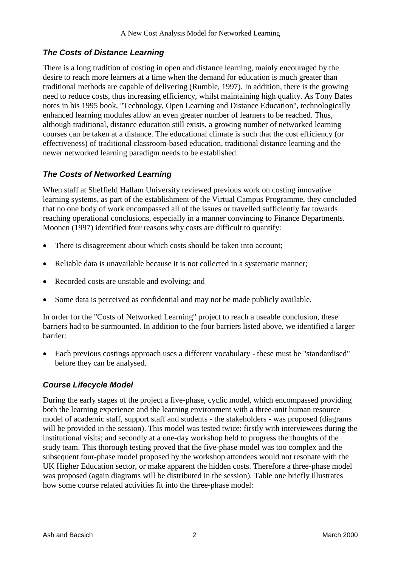# *The Costs of Distance Learning*

There is a long tradition of costing in open and distance learning, mainly encouraged by the desire to reach more learners at a time when the demand for education is much greater than traditional methods are capable of delivering (Rumble, 1997). In addition, there is the growing need to reduce costs, thus increasing efficiency, whilst maintaining high quality. As Tony Bates notes in his 1995 book, "Technology, Open Learning and Distance Education", technologically enhanced learning modules allow an even greater number of learners to be reached. Thus, although traditional, distance education still exists, a growing number of networked learning courses can be taken at a distance. The educational climate is such that the cost efficiency (or effectiveness) of traditional classroom-based education, traditional distance learning and the newer networked learning paradigm needs to be established.

## *The Costs of Networked Learning*

When staff at Sheffield Hallam University reviewed previous work on costing innovative learning systems, as part of the establishment of the Virtual Campus Programme, they concluded that no one body of work encompassed all of the issues or travelled sufficiently far towards reaching operational conclusions, especially in a manner convincing to Finance Departments. Moonen (1997) identified four reasons why costs are difficult to quantify:

- There is disagreement about which costs should be taken into account;
- Reliable data is unavailable because it is not collected in a systematic manner;
- Recorded costs are unstable and evolving; and
- Some data is perceived as confidential and may not be made publicly available.

In order for the "Costs of Networked Learning" project to reach a useable conclusion, these barriers had to be surmounted. In addition to the four barriers listed above, we identified a larger barrier:

 Each previous costings approach uses a different vocabulary - these must be "standardised" before they can be analysed.

## *Course Lifecycle Model*

During the early stages of the project a five-phase, cyclic model, which encompassed providing both the learning experience and the learning environment with a three-unit human resource model of academic staff, support staff and students - the stakeholders - was proposed (diagrams will be provided in the session). This model was tested twice: firstly with interviewees during the institutional visits; and secondly at a one-day workshop held to progress the thoughts of the study team. This thorough testing proved that the five-phase model was too complex and the subsequent four-phase model proposed by the workshop attendees would not resonate with the UK Higher Education sector, or make apparent the hidden costs. Therefore a three-phase model was proposed (again diagrams will be distributed in the session). Table one briefly illustrates how some course related activities fit into the three-phase model: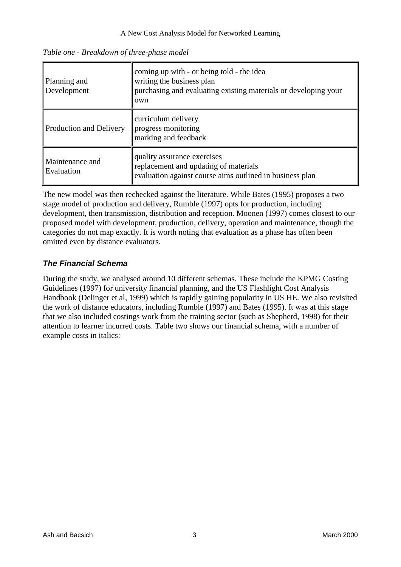| Planning and<br>Development   | coming up with - or being told - the idea<br>writing the business plan<br>purchasing and evaluating existing materials or developing your<br>own |
|-------------------------------|--------------------------------------------------------------------------------------------------------------------------------------------------|
| Production and Delivery       | curriculum delivery<br>progress monitoring<br>marking and feedback                                                                               |
| Maintenance and<br>Evaluation | quality assurance exercises<br>replacement and updating of materials<br>evaluation against course aims outlined in business plan                 |

*Table one - Breakdown of three-phase model*

The new model was then rechecked against the literature. While Bates (1995) proposes a two stage model of production and delivery, Rumble (1997) opts for production, including development, then transmission, distribution and reception. Moonen (1997) comes closest to our proposed model with development, production, delivery, operation and maintenance, though the categories do not map exactly. It is worth noting that evaluation as a phase has often been omitted even by distance evaluators.

## *The Financial Schema*

During the study, we analysed around 10 different schemas. These include the KPMG Costing Guidelines (1997) for university financial planning, and the US Flashlight Cost Analysis Handbook (Delinger et al, 1999) which is rapidly gaining popularity in US HE. We also revisited the work of distance educators, including Rumble (1997) and Bates (1995). It was at this stage that we also included costings work from the training sector (such as Shepherd, 1998) for their attention to learner incurred costs. Table two shows our financial schema, with a number of example costs in italics: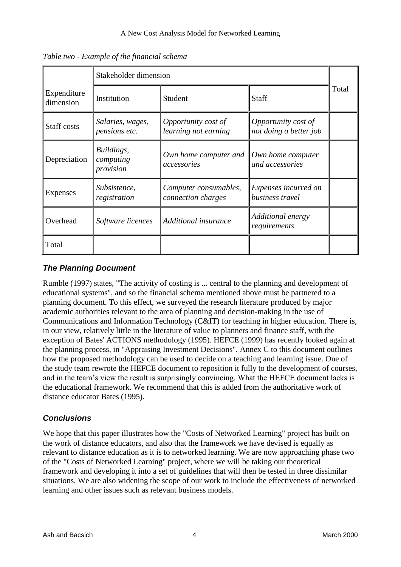|                          | Stakeholder dimension                |                                             |                                               |       |
|--------------------------|--------------------------------------|---------------------------------------------|-----------------------------------------------|-------|
| Expenditure<br>dimension | Institution                          | Student                                     | Staff                                         | Total |
| Staff costs              | Salaries, wages,<br>pensions etc.    | Opportunity cost of<br>learning not earning | Opportunity cost of<br>not doing a better job |       |
| Depreciation             | Buildings,<br>computing<br>provision | Own home computer and<br>accessories        | Own home computer<br>and accessories          |       |
| Expenses                 | Subsistence,<br>registration         | Computer consumables,<br>connection charges | Expenses incurred on<br>business travel       |       |
| Overhead                 | Software licences                    | Additional insurance                        | Additional energy<br>requirements             |       |
| Total                    |                                      |                                             |                                               |       |

*Table two - Example of the financial schema*

## *The Planning Document*

Rumble (1997) states, "The activity of costing is ... central to the planning and development of educational systems", and so the financial schema mentioned above must be partnered to a planning document. To this effect, we surveyed the research literature produced by major academic authorities relevant to the area of planning and decision-making in the use of Communications and Information Technology (C&IT) for teaching in higher education. There is, in our view, relatively little in the literature of value to planners and finance staff, with the exception of Bates' ACTIONS methodology (1995). HEFCE (1999) has recently looked again at the planning process, in "Appraising Investment Decisions". Annex C to this document outlines how the proposed methodology can be used to decide on a teaching and learning issue. One of the study team rewrote the HEFCE document to reposition it fully to the development of courses, and in the team's view the result is surprisingly convincing. What the HEFCE document lacks is the educational framework. We recommend that this is added from the authoritative work of distance educator Bates (1995).

## *Conclusions*

We hope that this paper illustrates how the "Costs of Networked Learning" project has built on the work of distance educators, and also that the framework we have devised is equally as relevant to distance education as it is to networked learning. We are now approaching phase two of the "Costs of Networked Learning" project, where we will be taking our theoretical framework and developing it into a set of guidelines that will then be tested in three dissimilar situations. We are also widening the scope of our work to include the effectiveness of networked learning and other issues such as relevant business models.